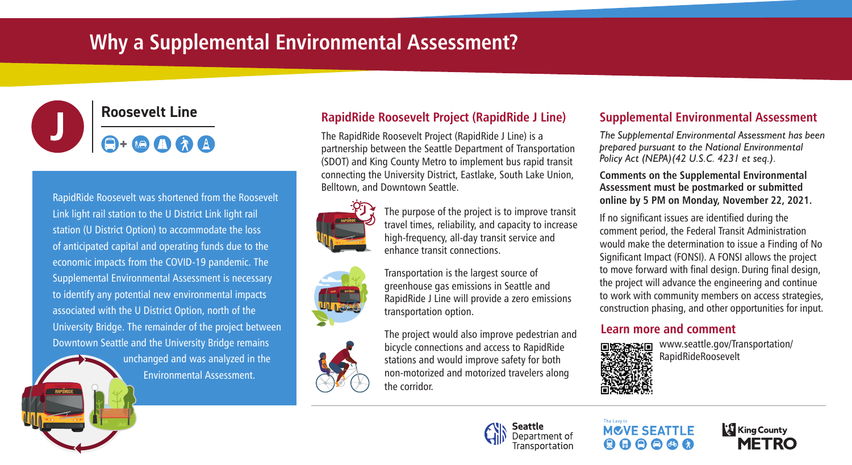# **Why a Supplemental Environmental Assessment?**



RapidRide Roosevelt was shortened from the Roosevelt Link light rail station to the U District Link light rail station (U District Option) to accommodate the loss of anticipated capital and operating funds due to the economic impacts from the COVID-19 pandemic. The Supplemental Environmental Assessment is necessary to identify any potential new environmental impacts associated with the U District Option, north of the University Bridge. The remainder of the project between Downtown Seattle and the University Bridge remains

> unchanged and was analyzed in the **Environmental Assessment.**

## **RapidRide Roosevelt Project (RapidRide J Line)**

The RapidRide Roosevelt Project (RapidRide J Line) is a partnership between the Seattle Department of Transportation (SDOT) and King County Metro to implement bus rapid transit connecting the University District, Eastlake, South Lake Union, Belltown, and Downtown Seattle.



The purpose of the project is to improve transit travel times, reliability, and capacity to increase high-frequency, all-day transit service and enhance transit connections.

Transportation is the largest source of greenhouse gas emissions in Seattle and RapidRide J Line will provide a zero emissions transportation option.

The project would also improve pedestrian and bicycle connections and access to RapidRide stations and would improve safety for both non-motorized and motorized travelers along the corridor.

## **Supplemental Environmental Assessment**

*The Supplemental Environmental Assessment has been prepared pursuant to the National Environmental Policy Act (NEPA)(42 U.S.C. 4231 et seq.).*

#### **Comments on the Supplemental Environmental Assessment must be postmarked or submitted online by 5 PM on Monday, November 22, 2021.**

If no significant issues are identified during the comment period, the Federal Transit Administration would make the determination to issue a Finding of No Significant Impact (FONSI). A FONSI allows the project to move forward with final design. During final design, the project will advance the engineering and continue to work with community members on access strategies, construction phasing, and other opportunities for input.

## **Learn more and comment**



www.seattle.gov/Transportation/ RapidRideRoosevelt

## Seattle Denartment of

**MOVE SEATTLE**